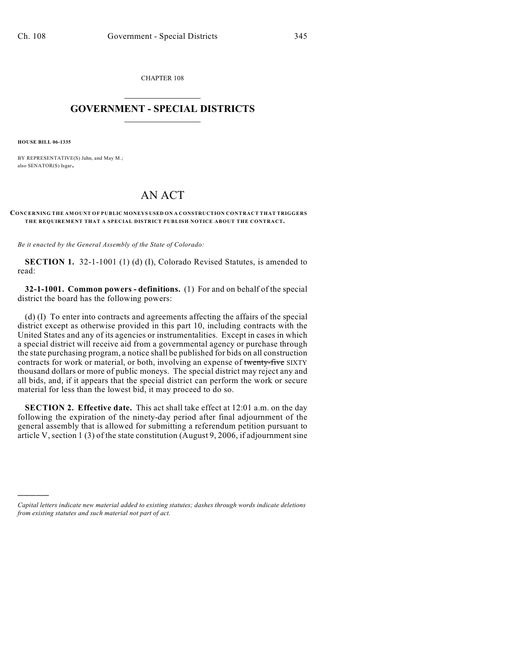CHAPTER 108  $\mathcal{L}_\text{max}$  . The set of the set of the set of the set of the set of the set of the set of the set of the set of the set of the set of the set of the set of the set of the set of the set of the set of the set of the set

## **GOVERNMENT - SPECIAL DISTRICTS**  $\_$

**HOUSE BILL 06-1335**

)))))

BY REPRESENTATIVE(S) Jahn, and May M.; also SENATOR(S) Isgar.

## AN ACT

## **CONCERNING THE AMOUNT OF PUBLIC MONEYS USED ON A CONSTRUCTION CONTRACT THAT TRIGGERS THE REQUIREMENT THAT A SPECIAL DISTRICT PUBLISH NOTICE ABOUT THE CONTRACT.**

*Be it enacted by the General Assembly of the State of Colorado:*

**SECTION 1.** 32-1-1001 (1) (d) (I), Colorado Revised Statutes, is amended to read:

**32-1-1001. Common powers - definitions.** (1) For and on behalf of the special district the board has the following powers:

(d) (I) To enter into contracts and agreements affecting the affairs of the special district except as otherwise provided in this part 10, including contracts with the United States and any of its agencies or instrumentalities. Except in cases in which a special district will receive aid from a governmental agency or purchase through the state purchasing program, a notice shall be published for bids on all construction contracts for work or material, or both, involving an expense of twenty-five SIXTY thousand dollars or more of public moneys. The special district may reject any and all bids, and, if it appears that the special district can perform the work or secure material for less than the lowest bid, it may proceed to do so.

**SECTION 2. Effective date.** This act shall take effect at 12:01 a.m. on the day following the expiration of the ninety-day period after final adjournment of the general assembly that is allowed for submitting a referendum petition pursuant to article V, section 1 (3) of the state constitution (August 9, 2006, if adjournment sine

*Capital letters indicate new material added to existing statutes; dashes through words indicate deletions from existing statutes and such material not part of act.*